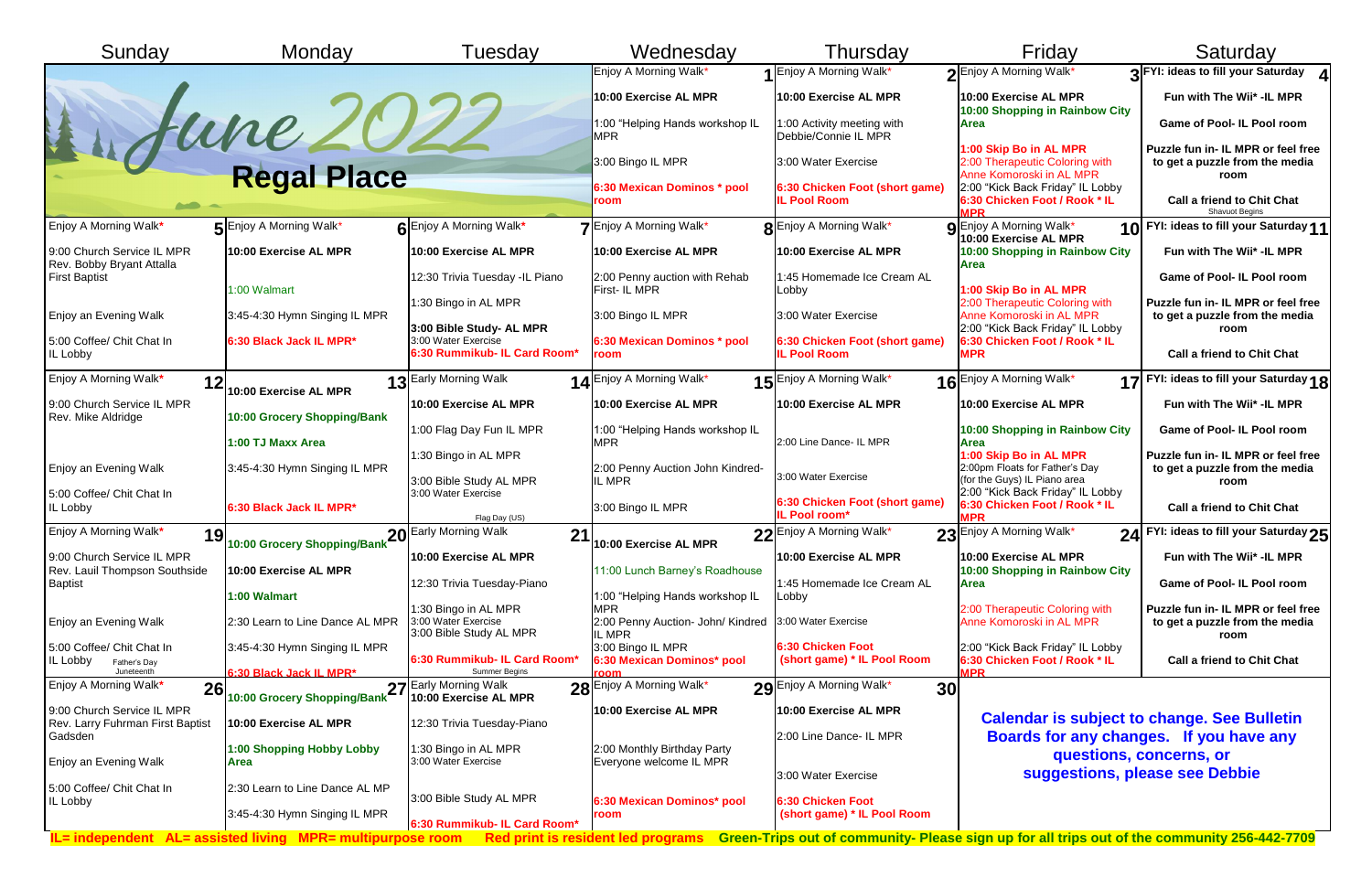| Sunday                                                              | Monday                                                        | Tuesday                                                                         | Wednesday                                                         | Thursday                                              | Friday                                                                               | Saturday                                                                                                                        |
|---------------------------------------------------------------------|---------------------------------------------------------------|---------------------------------------------------------------------------------|-------------------------------------------------------------------|-------------------------------------------------------|--------------------------------------------------------------------------------------|---------------------------------------------------------------------------------------------------------------------------------|
|                                                                     |                                                               |                                                                                 | Enjoy A Morning Walk*                                             | 1 Enjoy A Morning Walk*                               | 2 Enjoy A Morning Walk*                                                              | 2 FYI: ideas to fill your Saturday 4                                                                                            |
|                                                                     |                                                               |                                                                                 | 10:00 Exercise AL MPR                                             | 10:00 Exercise AL MPR                                 | 10:00 Exercise AL MPR<br>10:00 Shopping in Rainbow City                              | Fun with The Wii* -IL MPR                                                                                                       |
|                                                                     |                                                               |                                                                                 | 1:00 "Helping Hands workshop IL<br><b>MPR</b>                     | 1:00 Activity meeting with<br>Debbie/Connie IL MPR    | Area                                                                                 | Game of Pool- IL Pool room                                                                                                      |
|                                                                     | dune 202                                                      |                                                                                 | 3:00 Bingo IL MPR                                                 | 3:00 Water Exercise                                   | 1:00 Skip Bo in AL MPR<br>2:00 Therapeutic Coloring with<br>Anne Komoroski in AL MPR | Puzzle fun in- IL MPR or feel free<br>to get a puzzle from the media<br>room                                                    |
|                                                                     |                                                               |                                                                                 | 6:30 Mexican Dominos * pool<br>room                               | 6:30 Chicken Foot (short game)<br><b>IL Pool Room</b> | 2:00 "Kick Back Friday" IL Lobby<br>6:30 Chicken Foot / Rook * IL                    | <b>Call a friend to Chit Chat</b><br><b>Shavuot Begins</b>                                                                      |
| Enjoy A Morning Walk*                                               | <b>5</b> Enjoy A Morning Walk*                                | 6 Enjoy A Morning Walk*                                                         | 7 Enjoy A Morning Walk*                                           | <b>R</b> Enjoy A Morning Walk*                        | <b>Q</b> Enjoy A Morning Walk*<br>10:00 Exercise AL MPR                              | 10 FYI: ideas to fill your Saturday 11                                                                                          |
| 9:00 Church Service IL MPR<br>Rev. Bobby Bryant Attalla             | 10:00 Exercise AL MPR                                         | 10:00 Exercise AL MPR                                                           | 10:00 Exercise AL MPR                                             | 10:00 Exercise AL MPR                                 | 10:00 Shopping in Rainbow City<br><b>Area</b>                                        | Fun with The Wii* -IL MPR                                                                                                       |
| <b>First Baptist</b>                                                | 1:00 Walmart                                                  | 12:30 Trivia Tuesday -IL Piano                                                  | 2:00 Penny auction with Rehab<br><b>First-IL MPR</b>              | 1:45 Homemade Ice Cream AL<br>Lobby                   | 1:00 Skip Bo in AL MPR                                                               | <b>Game of Pool- IL Pool room</b>                                                                                               |
| Enjoy an Evening Walk                                               | 3:45-4:30 Hymn Singing IL MPR                                 | 1:30 Bingo in AL MPR                                                            | 3:00 Bingo IL MPR                                                 | 3:00 Water Exercise                                   | 2:00 Therapeutic Coloring with<br>Anne Komoroski in AL MPR                           | Puzzle fun in- IL MPR or feel free<br>to get a puzzle from the media                                                            |
| 5:00 Coffee/ Chit Chat In<br>IL Lobby                               | 6:30 Black Jack IL MPR*                                       | 3:00 Bible Study- AL MPR<br>3:00 Water Exercise<br>6:30 Rummikub- IL Card Room* | 6:30 Mexican Dominos * pool<br>room                               | 6:30 Chicken Foot (short game)<br><b>IL Pool Room</b> | 2:00 "Kick Back Friday" IL Lobby<br>6:30 Chicken Foot / Rook * IL<br><b>MPR</b>      | room<br><b>Call a friend to Chit Chat</b>                                                                                       |
| Enjoy A Morning Walk*<br>12                                         | 10:00 Exercise AL MPR                                         | 13 Early Morning Walk                                                           | 14 Enjoy A Morning Walk*                                          | 15 Enjoy A Morning Walk*                              | 16 Enjoy A Morning Walk*                                                             | 17 FYI: ideas to fill your Saturday 18                                                                                          |
| 9:00 Church Service IL MPR                                          |                                                               | 10:00 Exercise AL MPR                                                           | 10:00 Exercise AL MPR                                             | 10:00 Exercise AL MPR                                 | 10:00 Exercise AL MPR                                                                | Fun with The Wii* -IL MPR                                                                                                       |
| Rev. Mike Aldridge                                                  | 10:00 Grocery Shopping/Bank                                   | 1:00 Flag Day Fun IL MPR                                                        | 1:00 "Helping Hands workshop IL                                   |                                                       | 10:00 Shopping in Rainbow City                                                       | <b>Game of Pool- IL Pool room</b>                                                                                               |
|                                                                     | 1:00 TJ Maxx Area                                             | 1:30 Bingo in AL MPR                                                            | <b>MPR</b>                                                        | 2:00 Line Dance- IL MPR                               | Area<br>1:00 Skip Bo in AL MPR                                                       | Puzzle fun in- IL MPR or feel free                                                                                              |
| Enjoy an Evening Walk                                               | 3:45-4:30 Hymn Singing IL MPR                                 | 3:00 Bible Study AL MPR                                                         | 2:00 Penny Auction John Kindred-<br>IL MPR                        | 3:00 Water Exercise                                   | 2:00pm Floats for Father's Day<br>(for the Guys) IL Piano area                       | to get a puzzle from the media<br>room                                                                                          |
| 5:00 Coffee/ Chit Chat In<br>IL Lobby                               | 6:30 Black Jack IL MPR*                                       | 3:00 Water Exercise<br>Flag Day (US)                                            | 3:00 Bingo IL MPR                                                 | 6:30 Chicken Foot (short game)<br>IL Pool room*       | 2:00 "Kick Back Friday" IL Lobby<br>6:30 Chicken Foot / Rook * IL                    | <b>Call a friend to Chit Chat</b>                                                                                               |
| Enjoy A Morning Walk*<br>19                                         | 10:00 Grocery Shopping/Bank                                   | 20 Early Morning Walk<br>21                                                     | 10:00 Exercise AL MPR                                             | 32 Enjoy A Morning Walk*                              | 23 Enjoy A Morning Walk*                                                             | 24 FYI: ideas to fill your Saturday 25                                                                                          |
| 9:00 Church Service IL MPR                                          |                                                               | 10:00 Exercise AL MPR                                                           |                                                                   | 10:00 Exercise AL MPR                                 | 10:00 Exercise AL MPR                                                                | Fun with The Wii* -IL MPR                                                                                                       |
| Rev. Lauil Thompson Southside<br><b>Baptist</b>                     | 10:00 Exercise AL MPR<br>1:00 Walmart                         | 12:30 Trivia Tuesday-Piano                                                      | 11:00 Lunch Barney's Roadhouse<br>1:00 "Helping Hands workshop IL | 1:45 Homemade Ice Cream AL<br>Lobby                   | 10:00 Shopping in Rainbow City<br>Area                                               | <b>Game of Pool- IL Pool room</b>                                                                                               |
|                                                                     |                                                               | 1:30 Bingo in AL MPR<br>3:00 Water Exercise                                     | <b>MPR</b>                                                        | 3:00 Water Exercise                                   | 2:00 Therapeutic Coloring with                                                       | Puzzle fun in- IL MPR or feel free                                                                                              |
| Enjoy an Evening Walk                                               | 2:30 Learn to Line Dance AL MPR                               | 3:00 Bible Study AL MPR                                                         | 2:00 Penny Auction- John/ Kindred<br>IL MPR                       |                                                       | Anne Komoroski in AL MPR                                                             | to get a puzzle from the media<br>room                                                                                          |
| 5:00 Coffee/ Chit Chat In<br>IL Lobby<br>Father's Day<br>Juneteenth | 3:45-4:30 Hymn Singing IL MPR<br>6:30 Black Jack IL MPR*      | 6:30 Rummikub- IL Card Room*<br>Summer Begins                                   | 3:00 Bingo IL MPR<br>6:30 Mexican Dominos* pool                   | 6:30 Chicken Foot<br>(short game) * IL Pool Room      | 2:00 "Kick Back Friday" IL Lobby<br>6:30 Chicken Foot / Rook * IL                    | <b>Call a friend to Chit Chat</b>                                                                                               |
| Enjoy A Morning Walk*<br>26                                         |                                                               |                                                                                 | 28 Enjoy A Morning Walk*                                          | 29 Enjoy A Morning Walk*<br>30                        |                                                                                      |                                                                                                                                 |
| 9:00 Church Service IL MPR<br>Rev. Larry Fuhrman First Baptist      | 10:00 Exercise AL MPR                                         | 10:00 Exercise AL MPR<br>12:30 Trivia Tuesday-Piano                             | 10:00 Exercise AL MPR                                             | 10:00 Exercise AL MPR                                 |                                                                                      | <b>Calendar is subject to change. See Bulletin</b>                                                                              |
| Gadsden                                                             | 1:00 Shopping Hobby Lobby                                     | 1:30 Bingo in AL MPR                                                            | 2:00 Monthly Birthday Party                                       | 2:00 Line Dance- IL MPR                               |                                                                                      | Boards for any changes. If you have any                                                                                         |
| Enjoy an Evening Walk                                               | <b>Area</b>                                                   | 3:00 Water Exercise                                                             | Everyone welcome IL MPR                                           |                                                       |                                                                                      | questions, concerns, or                                                                                                         |
| 5:00 Coffee/ Chit Chat In<br>IL Lobby                               | 2:30 Learn to Line Dance AL MP                                | 3:00 Bible Study AL MPR                                                         | 6:30 Mexican Dominos* pool                                        | 3:00 Water Exercise<br><b>6:30 Chicken Foot</b>       |                                                                                      | suggestions, please see Debbie                                                                                                  |
|                                                                     | 3:45-4:30 Hymn Singing IL MPR                                 | 6:30 Rummikub- IL Card Room*                                                    | room                                                              | (short game) * IL Pool Room                           |                                                                                      |                                                                                                                                 |
|                                                                     | $IL = independent$ AL= assisted living MPR= multipurpose room |                                                                                 |                                                                   |                                                       |                                                                                      | Red print is resident led programs Green-Trips out of community- Please sign up for all trips out of the community 256-442-7709 |